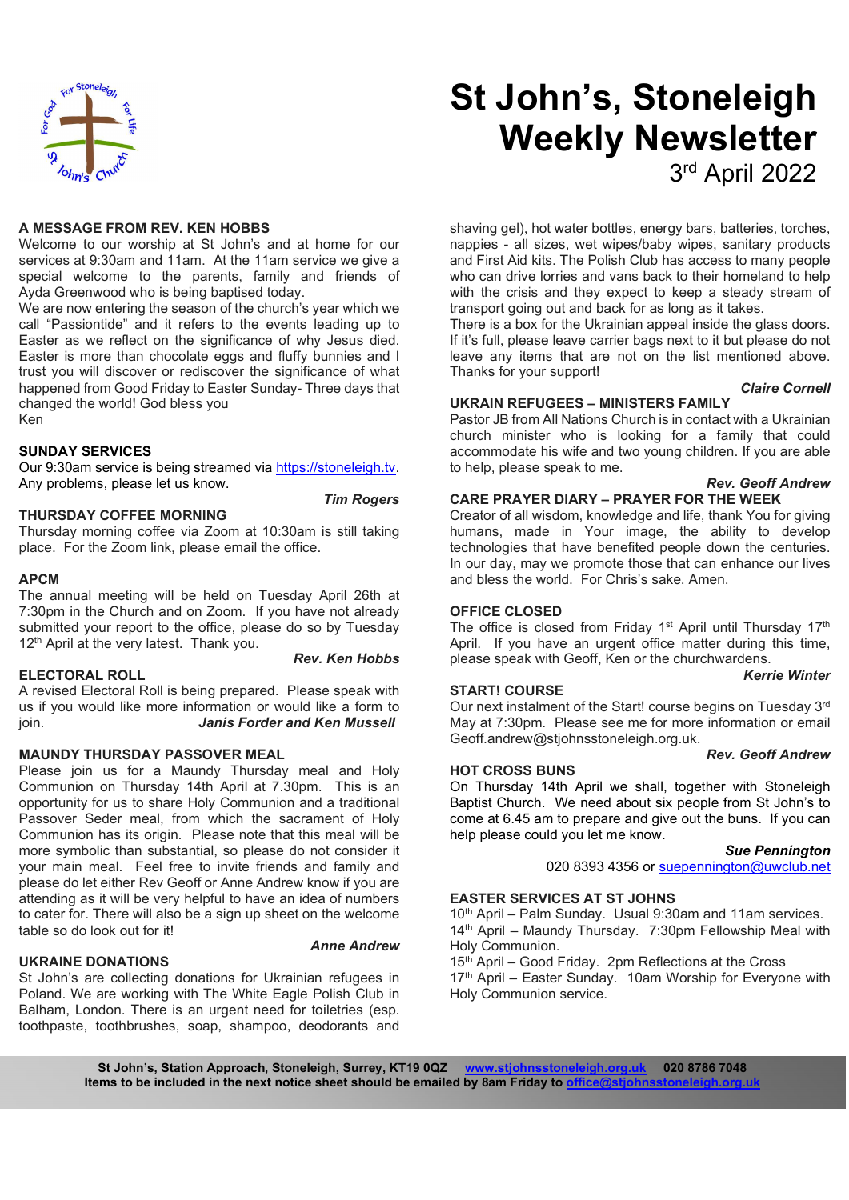

#### A MESSAGE FROM REV. KEN HOBBS

Welcome to our worship at St John's and at home for our services at 9:30am and 11am. At the 11am service we give a special welcome to the parents, family and friends of Ayda Greenwood who is being baptised today.

We are now entering the season of the church's year which we call "Passiontide" and it refers to the events leading up to Easter as we reflect on the significance of why Jesus died. Easter is more than chocolate eggs and fluffy bunnies and I trust you will discover or rediscover the significance of what happened from Good Friday to Easter Sunday- Three days that changed the world! God bless you Ken

#### SUNDAY SERVICES

Our 9:30am service is being streamed via https://stoneleigh.tv.<br>Any problems, please let us know.

THURSDAY COFFEE MORNING

Thursday morning coffee via Zoom at 10:30am is still taking place. For the Zoom link, please email the office.

#### APCM

The annual meeting will be held on Tuesday April 26th at 7:30pm in the Church and on Zoom. If you have not already submitted your report to the office, please do so by Tuesday 12<sup>th</sup> April at the very latest. Thank you.

#### ELECTORAL ROLL

A revised Electoral Roll is being prepared. Please speak with us if you would like more information or would like a form to join. Janis Forder and Ken Mussell

#### MAUNDY THURSDAY PASSOVER MEAL

Please join us for a Maundy Thursday meal and Holy Communion on Thursday 14th April at 7.30pm. This is an opportunity for us to share Holy Communion and a traditional Passover Seder meal, from which the sacrament of Holy Communion has its origin. Please note that this meal will be more symbolic than substantial, so please do not consider it your main meal. Feel free to invite friends and family and please do let either Rev Geoff or Anne Andrew know if you are attending as it will be very helpful to have an idea of numbers to cater for. There will also be a sign up sheet on the welcome table so do look out for it!

## UKRAINE DONATIONS

Anne Andrew

St John's are collecting donations for Ukrainian refugees in Poland. We are working with The White Eagle Polish Club in Balham, London. There is an urgent need for toiletries (esp. toothpaste, toothbrushes, soap, shampoo, deodorants and

# St John's, Stoneleigh Weekly Newsletter 3 rd April 2022

shaving gel), hot water bottles, energy bars, batteries, torches, nappies - all sizes, wet wipes/baby wipes, sanitary products and First Aid kits. The Polish Club has access to many people who can drive lorries and vans back to their homeland to help with the crisis and they expect to keep a steady stream of transport going out and back for as long as it takes.

There is a box for the Ukrainian appeal inside the glass doors. If it's full, please leave carrier bags next to it but please do not leave any items that are not on the list mentioned above. Thanks for your support!

#### Claire Cornell

#### UKRAIN REFUGEES – MINISTERS FAMILY

Pastor JB from All Nations Church is in contact with a Ukrainian church minister who is looking for a family that could accommodate his wife and two young children. If you are able to help, please speak to me.

# Rev. Geoff Andrew

### Tim Rogers CARE PRAYER DIARY – PRAYER FOR THE WEEK

Creator of all wisdom, knowledge and life, thank You for giving humans, made in Your image, the ability to develop technologies that have benefited people down the centuries. In our day, may we promote those that can enhance our lives and bless the world. For Chris's sake. Amen.

#### OFFICE CLOSED

**Rev. Ken Hobbs** please speak with Geoff, Ken or the churchwardens. The office is closed from Friday 1<sup>st</sup> April until Thursday 17<sup>th</sup> April. If you have an urgent office matter during this time,

#### Kerrie Winter

#### START! COURSE

Our next instalment of the Start! course begins on Tuesday 3rd May at 7:30pm. Please see me for more information or email Geoff.andrew@stjohnsstoneleigh.org.uk.

#### Rev. Geoff Andrew

HOT CROSS BUNS On Thursday 14th April we shall, together with Stoneleigh Baptist Church. We need about six people from St John's to come at 6.45 am to prepare and give out the buns. If you can help please could you let me know.

#### Sue Pennington

020 8393 4356 or suepennington@uwclub.net

# EASTER SERVICES AT ST JOHNS

10th April – Palm Sunday. Usual 9:30am and 11am services. 14th April – Maundy Thursday. 7:30pm Fellowship Meal with Holy Communion.

15<sup>th</sup> April – Good Friday. 2pm Reflections at the Cross 17<sup>th</sup> April – Easter Sunday. 10am Worship for Everyone with Holy Communion service.

St John's, Station Approach, Stoneleigh, Surrey, KT19 0QZ www.stjohnsstoneleigh.org.uk 020 8786 7048 Items to be included in the next notice sheet should be emailed by 8am Friday to office@stjohns